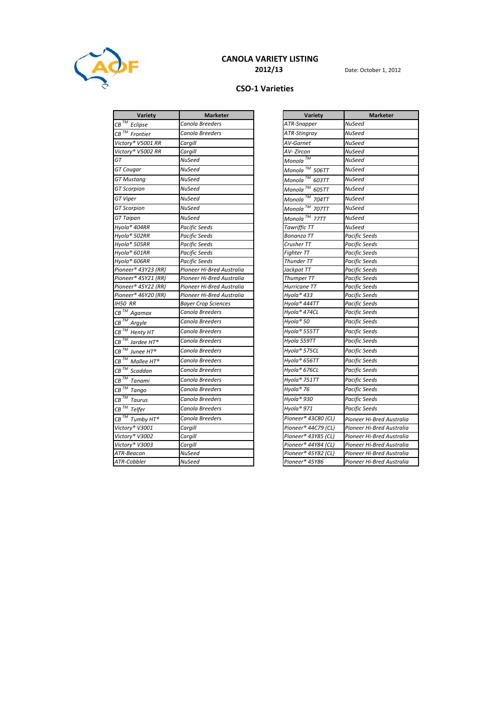

## CANOLA VARIETY LISTING

## CSO-1 Varieties

| $CB$ <sup>TM</sup> Eclipse<br>Canola Breeders                       |                                    |                           |
|---------------------------------------------------------------------|------------------------------------|---------------------------|
|                                                                     | ATR-Snapper                        | <b>NuSeed</b>             |
| $CB$ <sup>TM</sup> Frontier<br>Canola Breeders                      | ATR-Stingray                       | <b>NuSeed</b>             |
| Victory® V5001 RR<br>Cargill                                        | AV-Garnet                          | NuSeed                    |
| Victory® V5002 RR<br>Cargill                                        | AV-Zircon                          | <b>NuSeed</b>             |
| GT<br>NuSeed                                                        | Monola $^{\frac{7\overline{M}}{}}$ | <b>NuSeed</b>             |
| GT Cougar<br>NuSeed                                                 | Monola <sup>™</sup> 506TT          | <b>NuSeed</b>             |
| <b>GT Mustang</b><br>NuSeed                                         | Monola <sup>™</sup> 603TT          | <b>NuSeed</b>             |
| NuSeed<br><b>GT</b> Scorpion                                        | Monola <sup>™</sup> 605TT          | <b>NuSeed</b>             |
| GT Viper<br>NuSeed                                                  | Monola <sup>™</sup> 704TT          | <b>NuSeed</b>             |
| <b>NuSeed</b><br><b>GT Scorpion</b>                                 | Monola <sup>™</sup> 707TT          | <b>NuSeed</b>             |
| <b>GT</b> Taipan<br>NuSeed                                          | Monola <sup>™</sup> 77TT           | <b>NuSeed</b>             |
| Hyola® 404RR<br>Pacific Seeds                                       | Tawriffic TT                       | <b>NuSeed</b>             |
| Hyola® 502RR<br>Pacific Seeds                                       | Bonanza TT                         | <b>Pacific Seeds</b>      |
| Hyola® 505RR<br>Pacific Seeds                                       | Crusher TT                         | <b>Pacific Seeds</b>      |
| Hyola® 601RR<br>Pacific Seeds                                       | <b>Fighter TT</b>                  | <b>Pacific Seeds</b>      |
| Hyola® 606RR<br>Pacific Seeds                                       | Thunder TT                         | <b>Pacific Seeds</b>      |
| Pioneer® 43Y23 (RR)<br>Pioneer Hi-Bred Australia                    | Jackpot TT                         | <b>Pacific Seeds</b>      |
| Pioneer® 45Y21 (RR)<br>Pioneer Hi-Bred Australia                    | Thumper TT                         | <b>Pacific Seeds</b>      |
| Pioneer® 45Y22 (RR)<br>Pioneer Hi-Bred Australia                    | Hurricane TT                       | <b>Pacific Seeds</b>      |
| Pioneer® 46Y20 (RR)<br>Pioneer Hi-Bred Australia                    | Hyola® 433                         | <b>Pacific Seeds</b>      |
| IH50 RR<br><b>Bayer Crop Sciences</b>                               | Hyola® 444TT                       | <b>Pacific Seeds</b>      |
| $\overline{\mathit{CB}}^{\mathit{TM}}$ Agamax<br>Canola Breeders    | Hyola® 474CL                       | <b>Pacific Seeds</b>      |
| $\overline{\textit{CB}}^{\textit{TM}}$ Argyle<br>Canola Breeders    | Hyola® 50                          | <b>Pacific Seeds</b>      |
| $CB$ <sup>TM</sup> Henty HT<br>Canola Breeders                      | Hyola® 555TT                       | <b>Pacific Seeds</b>      |
| $CB$ <sup>TM</sup> Jardee HT®<br>Canola Breeders                    | Hyola 559TT                        | <b>Pacific Seeds</b>      |
| $CB$ <sup>TM</sup> Junee HT®<br>Canola Breeders                     | Hyola® 575CL                       | <b>Pacific Seeds</b>      |
| $CB^{\mathsf{TM}}$ Mallee $HT^{\otimes}$<br>Canola Breeders         | Hyola® 656TT                       | <b>Pacific Seeds</b>      |
| $CB$ <sup>TM</sup><br>Canola Breeders<br>Scaddan                    | Hyola® 676CL                       | <b>Pacific Seeds</b>      |
| $CB$ <sup>TM</sup> Tanami<br>Canola Breeders                        | Hyola® 751TT                       | <b>Pacific Seeds</b>      |
| $CB$ <sup>TM</sup> Tango<br>Canola Breeders                         | Hyola® 76                          | <b>Pacific Seeds</b>      |
| $CB$ <sup>TM</sup> Taurus<br>Canola Breeders                        | Hyola® 930                         | <b>Pacific Seeds</b>      |
| $\overline{\textit{CB}}^{\textit{TM}}$ Telfer<br>Canola Breeders    | Hyola® 971                         | <b>Pacific Seeds</b>      |
| $\overline{\textit{CB}}^{\textit{TM}}$ Tumby HT®<br>Canola Breeders | Pioneer® 43C80 (CL)                | Pioneer Hi-Bred Australia |
| Victory® V3001<br>Cargill                                           | Pioneer® 44C79 (CL)                | Pioneer Hi-Bred Australia |
| Victory® V3002<br>Cargill                                           | Pioneer® 43Y85 (CL)                | Pioneer Hi-Bred Australia |
| Victory® V3003<br>Cargill                                           | Pioneer® 44Y84 (CL)                | Pioneer Hi-Bred Australia |
| ATR-Beacon<br>NuSeed                                                | Pioneer® 45Y82 (CL)                | Pioneer Hi-Bred Australia |
| ATR-Cobbler<br>NuSeed                                               | Pioneer® 45Y86                     | Pioneer Hi-Bred Australia |

| Variety                                     | <b>Marketer</b>           |  |
|---------------------------------------------|---------------------------|--|
| ATR-Snapper                                 | NuSeed                    |  |
| ATR-Stingray                                | NuSeed                    |  |
| AV-Garnet                                   | NuSeed                    |  |
| AV- Zircon                                  | NuSeed                    |  |
| Monola ™                                    | NuSeed                    |  |
| Monola $^{\text{TM}}$ 506TT                 | NuSeed                    |  |
| <u>M</u> onola ™<br>603TT                   | NuSeed                    |  |
| <u>Mo</u> nola ™<br>605TT                   | NuSeed                    |  |
| Monola $^{\text{\tiny{\textsf{TM}}}}$ 704TT | NuSeed                    |  |
| Monola™ 707TT                               | NuSeed                    |  |
| Monola $^{\text{TM}}$ 77TT                  | NuSeed                    |  |
| Tawriffic TT                                | NuSeed                    |  |
| Bonanza TT                                  | <b>Pacific Seeds</b>      |  |
| Crusher TT                                  | <b>Pacific Seeds</b>      |  |
| Fighter TT                                  | Pacific Seeds             |  |
| Thunder TT                                  | Pacific Seeds             |  |
| Jackpot TT                                  | Pacific Seeds             |  |
| Thumper TT                                  | <b>Pacific Seeds</b>      |  |
| Hurricane TT                                | <b>Pacific Seeds</b>      |  |
| Hyola® 433                                  | <b>Pacific Seeds</b>      |  |
| Hyola® 444TT                                | Pacific Seeds             |  |
| Hyola® 474CL                                | Pacific Seeds             |  |
| Hyola® 50                                   | Pacific Seeds             |  |
| Hyola® 555TT                                | Pacific Seeds             |  |
| Hyola 559TT                                 | Pacific Seeds             |  |
| Hyola® 575CL                                | <b>Pacific Seeds</b>      |  |
| Hyola® 656TT                                | Pacific Seeds             |  |
| Hyola® 676CL                                | Pacific Seeds             |  |
| Hyola® 751TT                                | Pacific Seeds             |  |
| Hyola® 76                                   | Pacific Seeds             |  |
| Hyola® 930                                  | Pacific Seeds             |  |
| Hyola® 971                                  | <b>Pacific Seeds</b>      |  |
| Pioneer® 43C80 (CL)                         | Pioneer Hi-Bred Australia |  |
| Pioneer® 44C79 (CL)                         | Pioneer Hi-Bred Australia |  |
| Pioneer® 43Y85 (CL)                         | Pioneer Hi-Bred Australia |  |
| Pioneer® 44Y84 (CL)                         | Pioneer Hi-Bred Australia |  |
| Pioneer® 45Y82 (CL)                         | Pioneer Hi-Bred Australia |  |
| Pioneer® 45Y86                              | Pioneer Hi-Bred Australia |  |